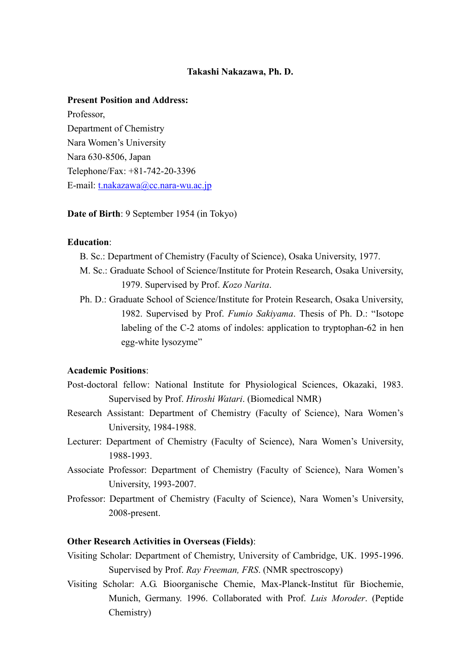### **Takashi Nakazawa, Ph. D.**

## **Present Position and Address:**

Professor, Department of Chemistry Nara Women's University Nara 630-8506, Japan Telephone/Fax: +81-742-20-3396 E-mail: [t.nakazawa@cc.nara-wu.ac.jp](mailto:t.nakazawa@cc.nara-wu.ac.jp)

**Date of Birth**: 9 September 1954 (in Tokyo)

### **Education**:

- B. Sc.: Department of Chemistry (Faculty of Science), Osaka University, 1977.
- M. Sc.: Graduate School of Science/Institute for Protein Research, Osaka University, 1979. Supervised by Prof. *Kozo Narita*.
- Ph. D.: Graduate School of Science/Institute for Protein Research, Osaka University, 1982. Supervised by Prof. *Fumio Sakiyama*. Thesis of Ph. D.: "Isotope labeling of the C-2 atoms of indoles: application to tryptophan-62 in hen egg-white lysozyme"

# **Academic Positions**:

- Post-doctoral fellow: National Institute for Physiological Sciences, Okazaki, 1983. Supervised by Prof. *Hiroshi Watari*. (Biomedical NMR)
- Research Assistant: Department of Chemistry (Faculty of Science), Nara Women's University, 1984-1988.
- Lecturer: Department of Chemistry (Faculty of Science), Nara Women's University, 1988-1993.
- Associate Professor: Department of Chemistry (Faculty of Science), Nara Women's University, 1993-2007.
- Professor: Department of Chemistry (Faculty of Science), Nara Women's University, 2008-present.

### **Other Research Activities in Overseas (Fields)**:

- Visiting Scholar: Department of Chemistry, University of Cambridge, UK. 1995-1996. Supervised by Prof. *Ray Freeman, FRS*. (NMR spectroscopy)
- Visiting Scholar: A.G. Bioorganische Chemie, Max-Planck-Institut für Biochemie, Munich, Germany. 1996. Collaborated with Prof. *Luis Moroder*. (Peptide Chemistry)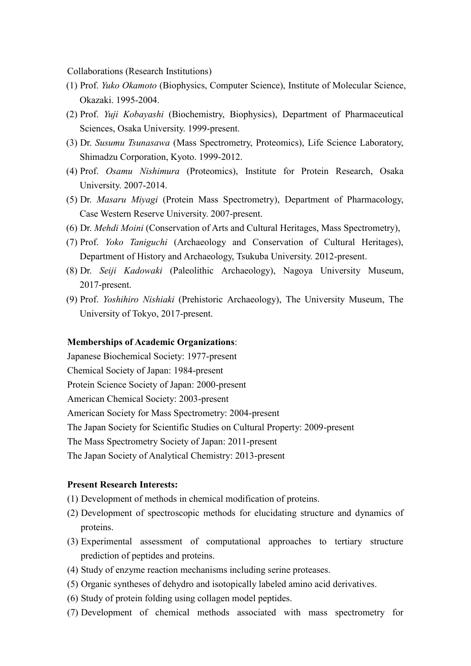Collaborations (Research Institutions)

- (1) Prof. *Yuko Okamoto* (Biophysics, Computer Science), Institute of Molecular Science, Okazaki. 1995-2004.
- (2) Prof. *Yuji Kobayashi* (Biochemistry, Biophysics), Department of Pharmaceutical Sciences, Osaka University. 1999-present.
- (3) Dr. *Susumu Tsunasawa* (Mass Spectrometry, Proteomics), Life Science Laboratory, Shimadzu Corporation, Kyoto. 1999-2012.
- (4) Prof. *Osamu Nishimura* (Proteomics), Institute for Protein Research, Osaka University. 2007-2014.
- (5) Dr. *Masaru Miyagi* (Protein Mass Spectrometry), Department of Pharmacology, Case Western Reserve University. 2007-present.
- (6) Dr. *Mehdi Moini* (Conservation of Arts and Cultural Heritages, Mass Spectrometry),
- (7) Prof. *Yoko Taniguchi* (Archaeology and Conservation of Cultural Heritages), Department of History and Archaeology, Tsukuba University. 2012-present.
- (8) Dr. *Seiji Kadowaki* (Paleolithic Archaeology), Nagoya University Museum, 2017-present.
- (9) Prof. *Yoshihiro Nishiaki* (Prehistoric Archaeology), The University Museum, The University of Tokyo, 2017-present.

### **Memberships of Academic Organizations**:

Japanese Biochemical Society: 1977-present Chemical Society of Japan: 1984-present Protein Science Society of Japan: 2000-present American Chemical Society: 2003-present American Society for Mass Spectrometry: 2004-present The Japan Society for Scientific Studies on Cultural Property: 2009-present The Mass Spectrometry Society of Japan: 2011-present The Japan Society of Analytical Chemistry: 2013-present

### **Present Research Interests:**

- (1) Development of methods in chemical modification of proteins.
- (2) Development of spectroscopic methods for elucidating structure and dynamics of proteins.
- (3) Experimental assessment of computational approaches to tertiary structure prediction of peptides and proteins.
- (4) Study of enzyme reaction mechanisms including serine proteases.
- (5) Organic syntheses of dehydro and isotopically labeled amino acid derivatives.
- (6) Study of protein folding using collagen model peptides.
- (7) Development of chemical methods associated with mass spectrometry for